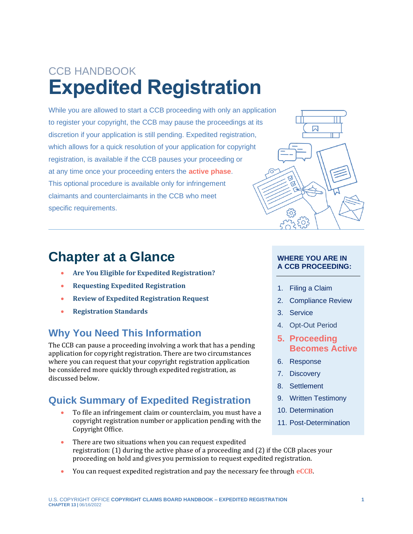# CCB HANDBOOK **Expedited Registration**

While you are allowed to start a CCB proceeding with only an application to register your copyright, the CCB may pause the proceedings at its discretion if your application is still pending. Expedited registration, which allows for a quick resolution of your application for copyright registration, is available if the CCB pauses your proceeding or at any time once your proceeding enters the **[active phase](#page-3-0)**. This optional procedure is available only for infringement claimants and counterclaimants in the CCB who meet specific requirements.

### **Chapter at a Glance**

- **[Are You Eligible for Expedited Registration?](#page-1-0)**
- **[Requesting Expedited Registration](#page-2-0)**
- **[Review of Expedited Registration Request](#page-2-1)**
- **[Registration Standards](#page-2-2)**

### **Why You Need This Information**

The CCB can pause a proceeding involving a work that has a pending application for copyright registration. There are two circumstances where you can request that your copyright registration application be considered more quickly through expedited registration, as discussed below.

### **Quick Summary of Expedited Registration**

• To file an infringement claim or counterclaim, you must have a copyright registration number or application pending with the Copyright Office.

#### **WHERE YOU ARE IN A CCB PROCEEDING:**

⊠

- 1. Filing a Claim
- 2. Compliance Review
- 3. Service

<span id="page-0-0"></span>I

- 4. Opt-Out Period
- **5. Proceeding Becomes Active**
- 6. Response
- 7. Discovery
- 8. Settlement
- 9. Written Testimony
- 10. Determination
- <span id="page-0-1"></span>11. Post-Determination
- There are two situations when you can request expedited registration: (1) during the active phase of a proceeding and (2) if the CCB places your proceeding on hold and gives you permission to request expedited registration.
- You can request expedited registration and pay the necessary fee through **[eCCB](#page-3-0)**.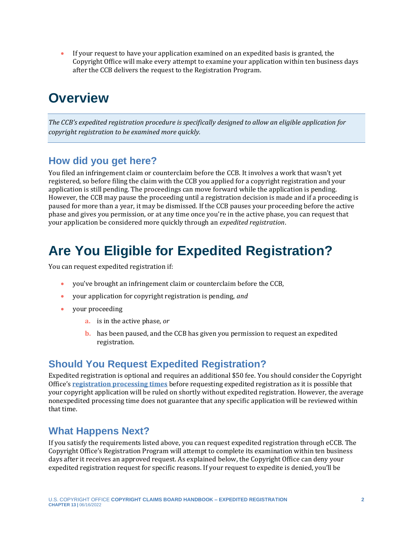• If your request to have your application examined on an expedited basis is granted, the Copyright Office will make every attempt to examine your application within ten business days after the CCB delivers the request to the Registration Program.

### **Overview**

*The CCB's expedited registration procedure is specifically designed to allow an eligible application for copyright registration to be examined more quickly.*

#### **How did you get here?**

You filed an infringement claim or counterclaim before the CCB. It involves a work that wasn't yet registered, so before filing the claim with the CCB you applied for a copyright registration and your application is still pending. The proceedings can move forward while the application is pending. However, the CCB may pause the proceeding until a registration decision is made and if a proceeding is paused for more than a year, it may be dismissed. If the CCB pauses your proceeding before the active phase and gives you permission, or at any time once you're in the active phase, you can request that your application be considered more quickly through an *expedited registration*.

### <span id="page-1-0"></span>**Are You Eligible for Expedited Registration?**

You can request expedited registration if:

- you've brought an infringement claim or counterclaim before the CCB,
- your application for copyright registration is pending, *and*
- your proceeding
	- **a.** is in the active phase, *or*
	- **b.** has been paused, and the CCB has given you permission to request an expedited registration.

#### **Should You Request Expedited Registration?**

Expedited registration is optional and requires an additional \$50 fee. You should consider the Copyright Office's **[registration processing times](https://copyright.gov/registration/docs/processing-times-faqs.pdf)** before requesting expedited registration as it is possible that your copyright application will be ruled on shortly without expedited registration. However, the average nonexpedited processing time does not guarantee that any specific application will be reviewed within that time.

#### **What Happens Next?**

If you satisfy the requirements listed above, you can request expedited registration through eCCB. The Copyright Office's Registration Program will attempt to complete its examination within ten business days after it receives an approved request. As explained below, the Copyright Office can deny your expedited registration request for specific reasons. If your request to expedite is denied, you'll be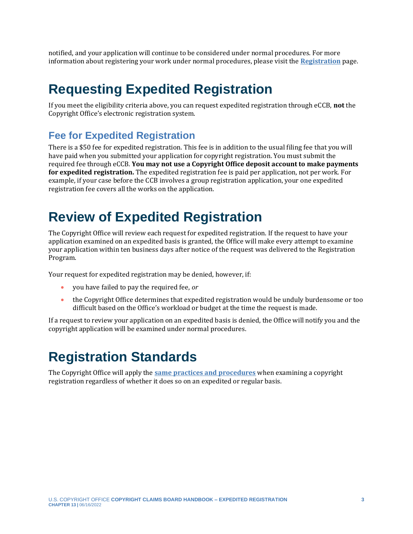notified, and your application will continue to be considered under normal procedures. For more information about registering your work under normal procedures, please visit the **[Registration](https://copyright.gov/registration/)** page.

### <span id="page-2-0"></span>**Requesting Expedited Registration**

If you meet the eligibility criteria above, you can request expedited registration through eCCB, **not** the Copyright Office's electronic registration system.

#### **Fee for Expedited Registration**

There is a \$50 fee for expedited registration. This fee is in addition to the usual filing fee that you will have paid when you submitted your application for copyright registration. You must submit the required fee through eCCB. **You may not use a Copyright Office deposit account to make payments for expedited registration.** The expedited registration fee is paid per application, not per work. For example, if your case before the CCB involves a group registration application, your one expedited registration fee covers all the works on the application.

### <span id="page-2-1"></span>**Review of Expedited Registration**

The Copyright Office will review each request for expedited registration. If the request to have your application examined on an expedited basis is granted, the Office will make every attempt to examine your application within ten business days after notice of the request was delivered to the Registration Program.

Your request for expedited registration may be denied, however, if:

- you have failed to pay the required fee, *or*
- the Copyright Office determines that expedited registration would be unduly burdensome or too difficult based on the Office's workload or budget at the time the request is made.

If a request to review your application on an expedited basis is denied, the Office will notify you and the copyright application will be examined under normal procedures.

## <span id="page-2-2"></span>**Registration Standards**

The Copyright Office will apply the **[same practices and procedures](https://www.copyright.gov/comp3/chap600/ch600-examination-practices.pdf)** when examining a copyright registration regardless of whether it does so on an expedited or regular basis.